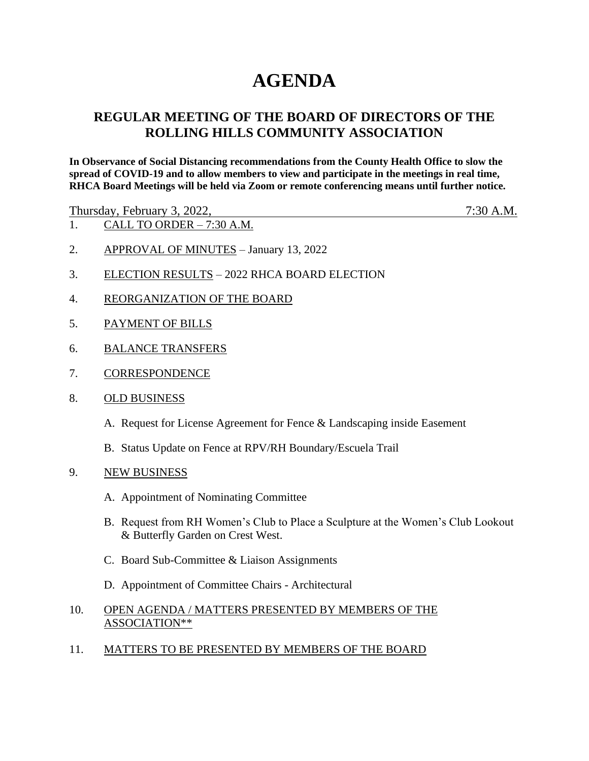# **AGENDA**

# **REGULAR MEETING OF THE BOARD OF DIRECTORS OF THE ROLLING HILLS COMMUNITY ASSOCIATION**

**In Observance of Social Distancing recommendations from the County Health Office to slow the spread of COVID-19 and to allow members to view and participate in the meetings in real time, RHCA Board Meetings will be held via Zoom or remote conferencing means until further notice.** 

Thursday, February 3, 2022, 7:30 A.M.

- 1. CALL TO ORDER 7:30 A.M.
- 2. APPROVAL OF MINUTES January 13, 2022
- 3. ELECTION RESULTS 2022 RHCA BOARD ELECTION
- 4. REORGANIZATION OF THE BOARD
- 5. PAYMENT OF BILLS
- 6. BALANCE TRANSFERS
- 7. CORRESPONDENCE
- 8. OLD BUSINESS
	- A. Request for License Agreement for Fence & Landscaping inside Easement
	- B. Status Update on Fence at RPV/RH Boundary/Escuela Trail
- 9. NEW BUSINESS
	- A. Appointment of Nominating Committee
	- B. Request from RH Women's Club to Place a Sculpture at the Women's Club Lookout & Butterfly Garden on Crest West.
	- C. Board Sub-Committee & Liaison Assignments
	- D. Appointment of Committee Chairs Architectural

## 10. OPEN AGENDA / MATTERS PRESENTED BY MEMBERS OF THE ASSOCIATION\*\*

11. MATTERS TO BE PRESENTED BY MEMBERS OF THE BOARD